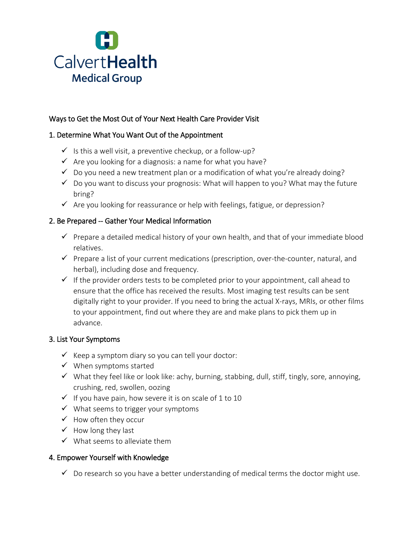

# Ways to Get the Most Out of Your Next Health Care Provider Visit

# 1. Determine What You Want Out of the Appointment

- $\checkmark$  is this a well visit, a preventive checkup, or a follow-up?
- $\checkmark$  Are you looking for a diagnosis: a name for what you have?
- $\checkmark$  Do you need a new treatment plan or a modification of what you're already doing?
- $\checkmark$  Do you want to discuss your prognosis: What will happen to you? What may the future bring?
- $\checkmark$  Are you looking for reassurance or help with feelings, fatigue, or depression?

# 2. Be Prepared -- Gather Your Medical Information

- $\checkmark$  Prepare a detailed medical history of your own health, and that of your immediate blood relatives.
- $\checkmark$  Prepare a list of your current medications (prescription, over-the-counter, natural, and herbal), including dose and frequency.
- $\checkmark$  If the provider orders tests to be completed prior to your appointment, call ahead to ensure that the office has received the results. Most imaging test results can be sent digitally right to your provider. If you need to bring the actual X-rays, MRIs, or other films to your appointment, find out where they are and make plans to pick them up in advance.

### 3. List Your Symptoms

- $\checkmark$  Keep a symptom diary so you can tell your doctor:
- $\checkmark$  When symptoms started
- $\checkmark$  What they feel like or look like: achy, burning, stabbing, dull, stiff, tingly, sore, annoying, crushing, red, swollen, oozing
- $\checkmark$  If you have pain, how severe it is on scale of 1 to 10
- $\checkmark$  What seems to trigger your symptoms
- $\checkmark$  How often they occur
- $\checkmark$  How long they last
- $\checkmark$  What seems to alleviate them

### 4. Empower Yourself with Knowledge

 $\checkmark$  Do research so you have a better understanding of medical terms the doctor might use.